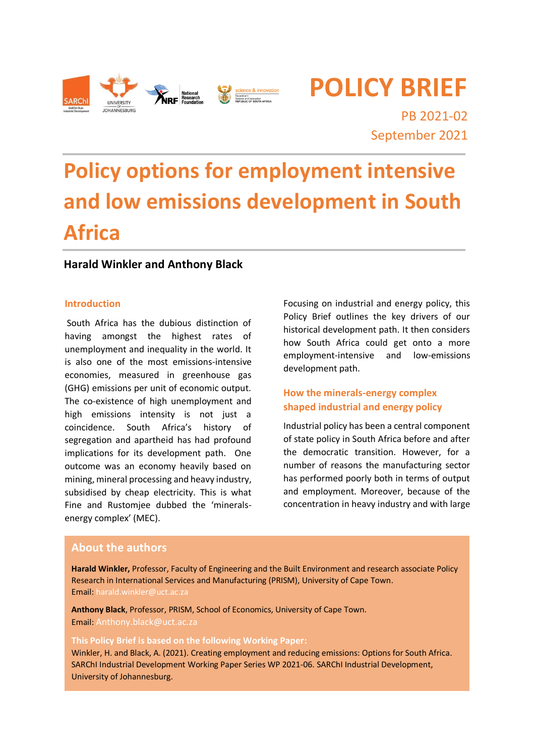

**POLICY BRIEF**

PB 2021-02 September 2021

# **Policy options for employment intensive and low emissions development in South Africa**

# **Harald Winkler and Anthony Black**

#### **Introduction**

South Africa has the dubious distinction of having amongst the highest rates of unemployment and inequality in the world. It is also one of the most emissions-intensive economies, measured in greenhouse gas (GHG) emissions per unit of economic output. The co-existence of high unemployment and high emissions intensity is not just a coincidence. South Africa's history of segregation and apartheid has had profound implications for its development path. One outcome was an economy heavily based on mining, mineral processing and heavy industry, subsidised by cheap electricity. This is what Fine and Rustomjee dubbed the 'mineralsenergy complex' (MEC).

Focusing on industrial and energy policy, this Policy Brief outlines the key drivers of our historical development path. It then considers how South Africa could get onto a more employment-intensive and low-emissions development path.

# **How the minerals-energy complex shaped industrial and energy policy**

Industrial policy has been a central component of state policy in South Africa before and after the democratic transition. However, for a number of reasons the manufacturing sector has performed poorly both in terms of output and employment. Moreover, because of the concentration in heavy industry and with large

## **About the authors**

**Harald Winkler,** Professor, Faculty of Engineering and the Built Environment and research associate Policy Research in International Services and Manufacturing (PRISM), University of Cape Town. Email: harald.winkler@uct.ac.za

**Anthony Black**, Professor, PRISM, School of Economics, University of Cape Town. Email: Anthony.black@uct.ac.za

#### **This Policy Brief is based on the following Working Paper:**

Winkler, H. and Black, A. (2021). Creating employment and reducing emissions: Options for South Africa. SARChI Industrial Development Working Paper Series WP 2021-06. SARChI Industrial Development, University of Johannesburg.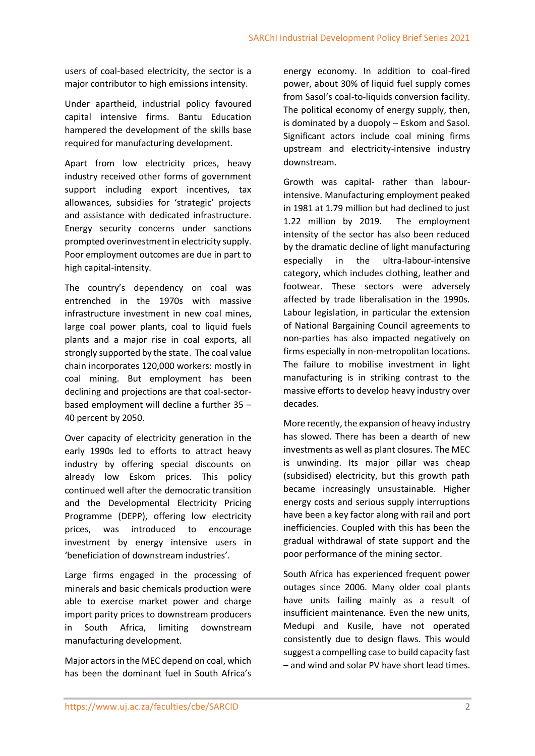users of coal-based electricity, the sector is a major contributor to high emissions intensity.

Under apartheid, industrial policy favoured capital intensive firms. Bantu Education hampered the development of the skills base required for manufacturing development.

Apart from low electricity prices, heavy industry received other forms of government support including export incentives, tax allowances, subsidies for 'strategic' projects and assistance with dedicated infrastructure. Energy security concerns under sanctions prompted overinvestment in electricity supply. Poor employment outcomes are due in part to high capital-intensity.

The country's dependency on coal was entrenched in the 1970s with massive infrastructure investment in new coal mines, large coal power plants, coal to liquid fuels plants and a major rise in coal exports, all strongly supported by the state. The coal value chain incorporates 120,000 workers: mostly in coal mining. But employment has been declining and projections are that coal-sectorbased employment will decline a further 35 – 40 percent by 2050.

Over capacity of electricity generation in the early 1990s led to efforts to attract heavy industry by offering special discounts on already low Eskom prices. This policy continued well after the democratic transition and the Developmental Electricity Pricing Programme (DEPP), offering low electricity prices, was introduced to encourage investment by energy intensive users in 'beneficiation of downstream industries'.

Large firms engaged in the processing of minerals and basic chemicals production were able to exercise market power and charge import parity prices to downstream producers in South Africa, limiting downstream manufacturing development.

Major actors in the MEC depend on coal, which has been the dominant fuel in South Africa's

energy economy. In addition to coal-fired power, about 30% of liquid fuel supply comes from Sasol's coal-to-liquids conversion facility. The political economy of energy supply, then, is dominated by a duopoly – Eskom and Sasol. Significant actors include coal mining firms upstream and electricity-intensive industry downstream.

Growth was capital- rather than labourintensive. Manufacturing employment peaked in 1981 at 1.79 million but had declined to just 1.22 million by 2019. The employment intensity of the sector has also been reduced by the dramatic decline of light manufacturing especially in the ultra-labour-intensive category, which includes clothing, leather and footwear. These sectors were adversely affected by trade liberalisation in the 1990s. Labour legislation, in particular the extension of National Bargaining Council agreements to non-parties has also impacted negatively on firms especially in non-metropolitan locations. The failure to mobilise investment in light manufacturing is in striking contrast to the massive efforts to develop heavy industry over decades.

More recently, the expansion of heavy industry has slowed. There has been a dearth of new investments as well as plant closures. The MEC is unwinding. Its major pillar was cheap (subsidised) electricity, but this growth path became increasingly unsustainable. Higher energy costs and serious supply interruptions have been a key factor along with rail and port inefficiencies. Coupled with this has been the gradual withdrawal of state support and the poor performance of the mining sector.

South Africa has experienced frequent power outages since 2006. Many older coal plants have units failing mainly as a result of insufficient maintenance. Even the new units, Medupi and Kusile, have not operated consistently due to design flaws. This would suggest a compelling case to build capacity fast – and wind and solar PV have short lead times.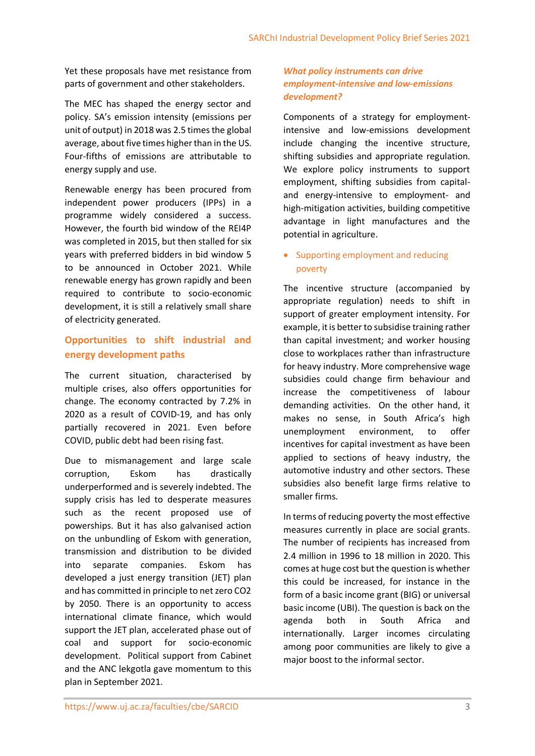Yet these proposals have met resistance from parts of government and other stakeholders.

The MEC has shaped the energy sector and policy. SA's emission intensity (emissions per unit of output) in 2018 was 2.5 times the global average, about five times higher than in the US. Four-fifths of emissions are attributable to energy supply and use.

Renewable energy has been procured from independent power producers (IPPs) in a programme widely considered a success. However, the fourth bid window of the REI4P was completed in 2015, but then stalled for six years with preferred bidders in bid window 5 to be announced in October 2021. While renewable energy has grown rapidly and been required to contribute to socio-economic development, it is still a relatively small share of electricity generated.

# **Opportunities to shift industrial and energy development paths**

The current situation, characterised by multiple crises, also offers opportunities for change. The economy contracted by 7.2% in 2020 as a result of COVID-19, and has only partially recovered in 2021. Even before COVID, public debt had been rising fast.

Due to mismanagement and large scale corruption, Eskom has drastically underperformed and is severely indebted. The supply crisis has led to desperate measures such as the recent proposed use of powerships. But it has also galvanised action on the unbundling of Eskom with generation, transmission and distribution to be divided into separate companies. Eskom has developed a just energy transition (JET) plan and has committed in principle to net zero CO2 by 2050. There is an opportunity to access international climate finance, which would support the JET plan, accelerated phase out of coal and support for socio-economic development. Political support from Cabinet and the ANC lekgotla gave momentum to this plan in September 2021.

## *What policy instruments can drive employment-intensive and low-emissions development?*

Components of a strategy for employmentintensive and low-emissions development include changing the incentive structure, shifting subsidies and appropriate regulation. We explore policy instruments to support employment, shifting subsidies from capitaland energy-intensive to employment- and high-mitigation activities, building competitive advantage in light manufactures and the potential in agriculture.

# • Supporting employment and reducing poverty

The incentive structure (accompanied by appropriate regulation) needs to shift in support of greater employment intensity. For example, it is better to subsidise training rather than capital investment; and worker housing close to workplaces rather than infrastructure for heavy industry. More comprehensive wage subsidies could change firm behaviour and increase the competitiveness of labour demanding activities. On the other hand, it makes no sense, in South Africa's high unemployment environment, to offer incentives for capital investment as have been applied to sections of heavy industry, the automotive industry and other sectors. These subsidies also benefit large firms relative to smaller firms.

In terms of reducing poverty the most effective measures currently in place are social grants. The number of recipients has increased from 2.4 million in 1996 to 18 million in 2020. This comes at huge cost but the question is whether this could be increased, for instance in the form of a basic income grant (BIG) or universal basic income (UBI). The question is back on the agenda both in South Africa and internationally. Larger incomes circulating among poor communities are likely to give a major boost to the informal sector.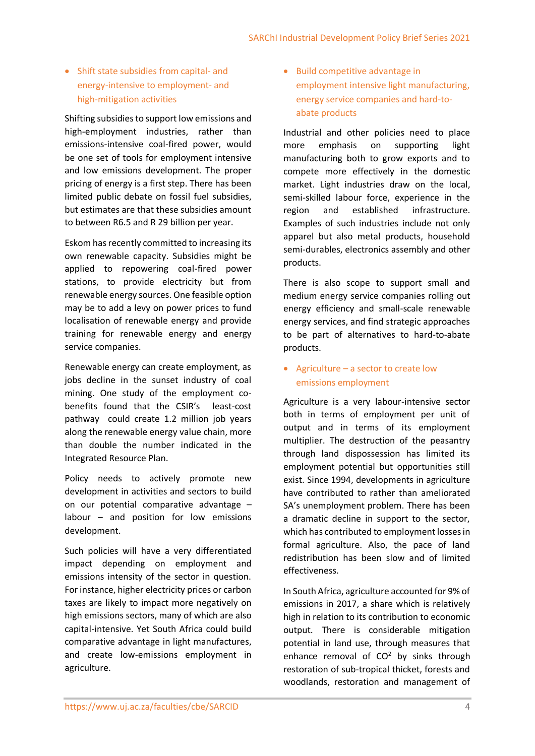# Shift state subsidies from capital- and energy-intensive to employment- and high-mitigation activities

Shifting subsidies to support low emissions and high-employment industries, rather than emissions-intensive coal-fired power, would be one set of tools for employment intensive and low emissions development. The proper pricing of energy is a first step. There has been limited public debate on fossil fuel subsidies, but estimates are that these subsidies amount to between R6.5 and R 29 billion per year.

Eskom has recently committed to increasing its own renewable capacity. Subsidies might be applied to repowering coal-fired power stations, to provide electricity but from renewable energy sources. One feasible option may be to add a levy on power prices to fund localisation of renewable energy and provide training for renewable energy and energy service companies.

Renewable energy can create employment, as jobs decline in the sunset industry of coal mining. One study of the employment cobenefits found that the CSIR's least-cost pathway could create 1.2 million job years along the renewable energy value chain, more than double the number indicated in the Integrated Resource Plan.

Policy needs to actively promote new development in activities and sectors to build on our potential comparative advantage – labour – and position for low emissions development.

Such policies will have a very differentiated impact depending on employment and emissions intensity of the sector in question. For instance, higher electricity prices or carbon taxes are likely to impact more negatively on high emissions sectors, many of which are also capital-intensive. Yet South Africa could build comparative advantage in light manufactures, and create low-emissions employment in agriculture.

• Build competitive advantage in employment intensive light manufacturing, energy service companies and hard-toabate products

Industrial and other policies need to place more emphasis on supporting light manufacturing both to grow exports and to compete more effectively in the domestic market. Light industries draw on the local, semi-skilled labour force, experience in the region and established infrastructure. Examples of such industries include not only apparel but also metal products, household semi-durables, electronics assembly and other products.

There is also scope to support small and medium energy service companies rolling out energy efficiency and small-scale renewable energy services, and find strategic approaches to be part of alternatives to hard-to-abate products.

# Agriculture – a sector to create low emissions employment

Agriculture is a very labour-intensive sector both in terms of employment per unit of output and in terms of its employment multiplier. The destruction of the peasantry through land dispossession has limited its employment potential but opportunities still exist. Since 1994, developments in agriculture have contributed to rather than ameliorated SA's unemployment problem. There has been a dramatic decline in support to the sector, which has contributed to employment losses in formal agriculture. Also, the pace of land redistribution has been slow and of limited effectiveness.

In South Africa, agriculture accounted for 9% of emissions in 2017, a share which is relatively high in relation to its contribution to economic output. There is considerable mitigation potential in land use, through measures that enhance removal of  $CO<sup>2</sup>$  by sinks through restoration of sub-tropical thicket, forests and woodlands, restoration and management of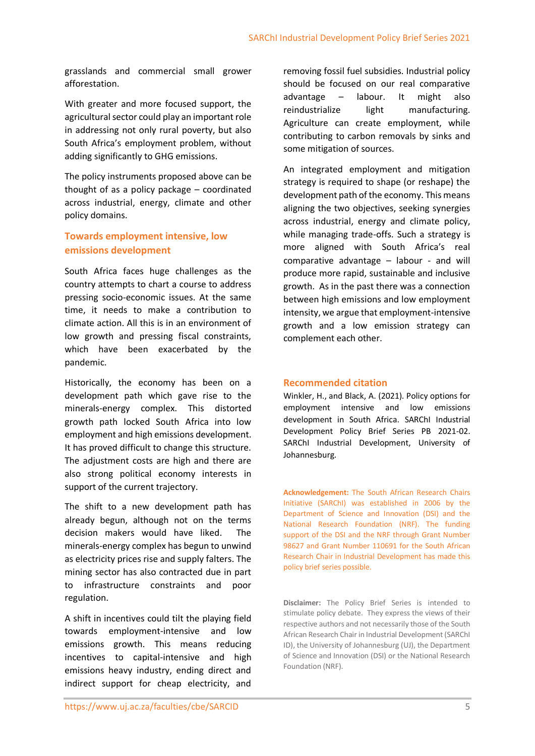grasslands and commercial small grower afforestation.

With greater and more focused support, the agricultural sector could play an important role in addressing not only rural poverty, but also South Africa's employment problem, without adding significantly to GHG emissions.

The policy instruments proposed above can be thought of as a policy package – coordinated across industrial, energy, climate and other policy domains.

# **Towards employment intensive, low emissions development**

South Africa faces huge challenges as the country attempts to chart a course to address pressing socio-economic issues. At the same time, it needs to make a contribution to climate action. All this is in an environment of low growth and pressing fiscal constraints, which have been exacerbated by the pandemic.

Historically, the economy has been on a development path which gave rise to the minerals-energy complex. This distorted growth path locked South Africa into low employment and high emissions development. It has proved difficult to change this structure. The adjustment costs are high and there are also strong political economy interests in support of the current trajectory.

The shift to a new development path has already begun, although not on the terms decision makers would have liked. The minerals-energy complex has begun to unwind as electricity prices rise and supply falters. The mining sector has also contracted due in part to infrastructure constraints and poor regulation.

A shift in incentives could tilt the playing field towards employment-intensive and low emissions growth. This means reducing incentives to capital-intensive and high emissions heavy industry, ending direct and indirect support for cheap electricity, and

removing fossil fuel subsidies. Industrial policy should be focused on our real comparative advantage – labour. It might also reindustrialize light manufacturing. Agriculture can create employment, while contributing to carbon removals by sinks and some mitigation of sources.

An integrated employment and mitigation strategy is required to shape (or reshape) the development path of the economy. This means aligning the two objectives, seeking synergies across industrial, energy and climate policy, while managing trade-offs. Such a strategy is more aligned with South Africa's real comparative advantage – labour - and will produce more rapid, sustainable and inclusive growth. As in the past there was a connection between high emissions and low employment intensity, we argue that employment-intensive growth and a low emission strategy can complement each other.

### **Recommended citation**

Winkler, H., and Black, A. (2021). Policy options for employment intensive and low emissions development in South Africa. SARChI Industrial Development Policy Brief Series PB 2021-02. SARChI Industrial Development, University of Johannesburg.

**Acknowledgement:** The South African Research Chairs Initiative (SARChI) was established in 2006 by the Department of Science and Innovation (DSI) and the National Research Foundation (NRF). The funding support of the DSI and the NRF through Grant Number 98627 and Grant Number 110691 for the South African Research Chair in Industrial Development has made this policy brief series possible.

**Disclaimer:** The Policy Brief Series is intended to stimulate policy debate. They express the views of their respective authors and not necessarily those of the South African Research Chair in Industrial Development (SARChI ID), the University of Johannesburg (UJ), the Department of Science and Innovation (DSI) or the National Research Foundation (NRF).